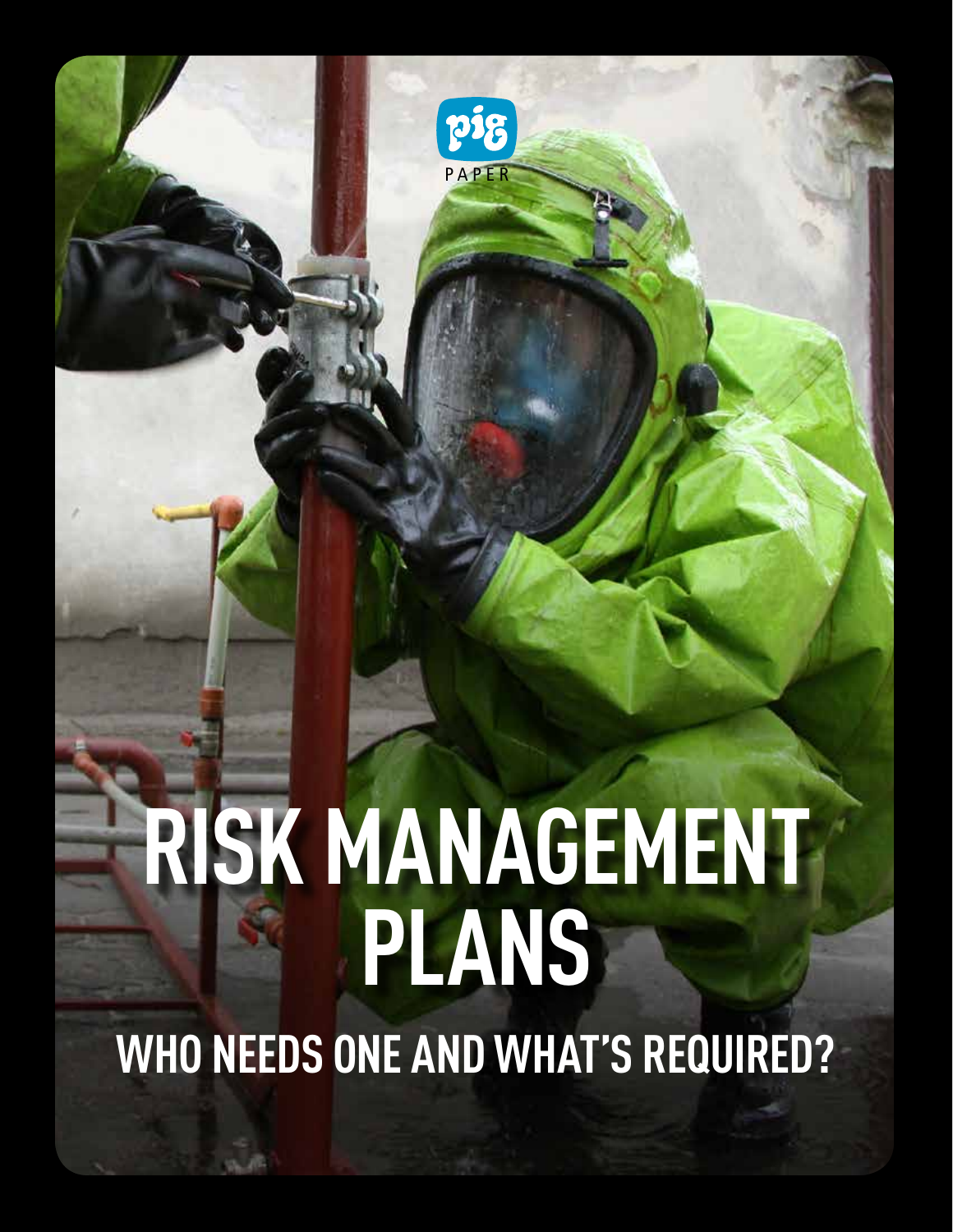# **RISK MANAGEMENT PLANS WHO NEEDS ONE AND WHAT'S REQUIRED?**

PAPER

pig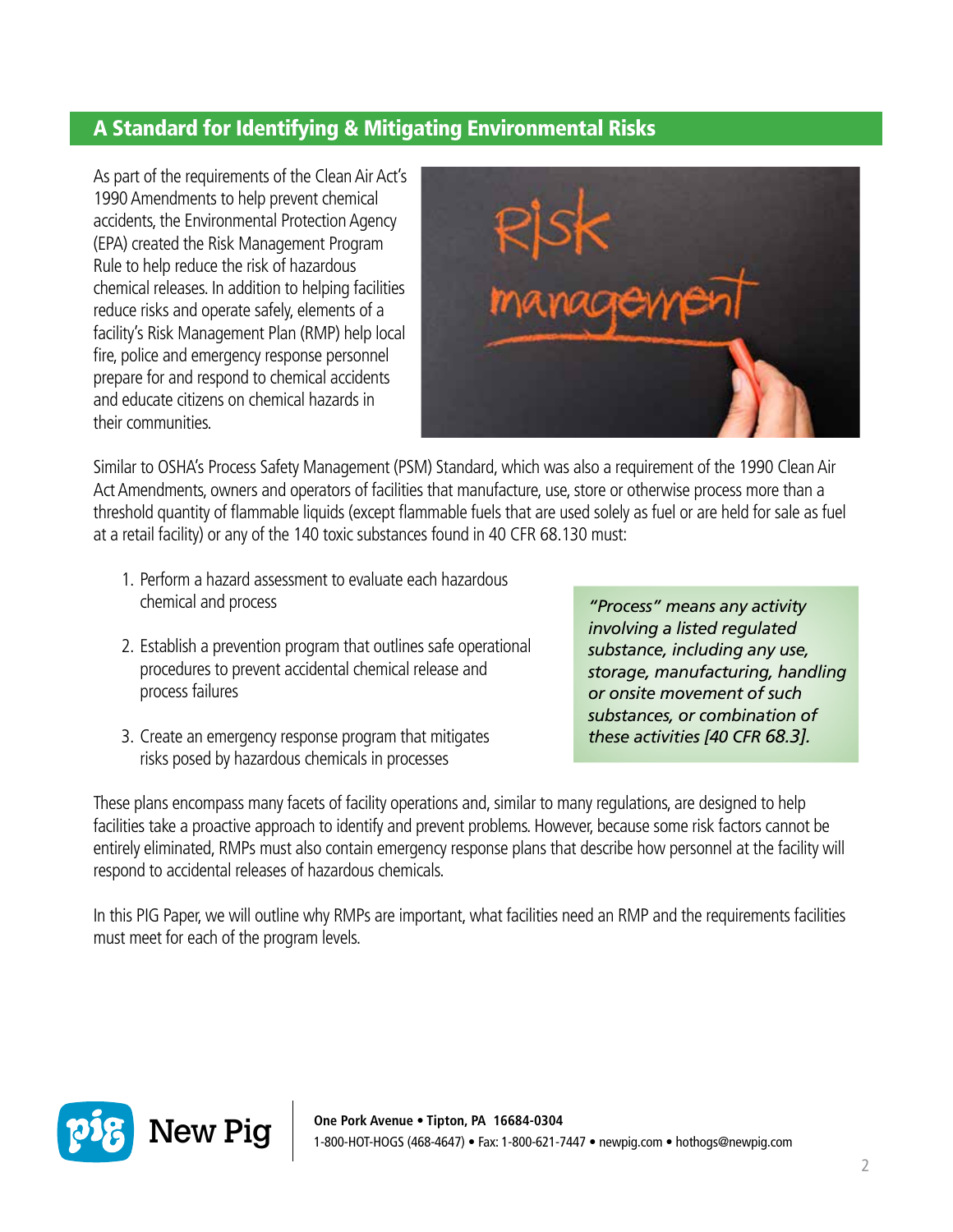# A Standard for Identifying & Mitigating Environmental Risks

As part of the requirements of the Clean Air Act's 1990 Amendments to help prevent chemical accidents, the Environmental Protection Agency (EPA) created the Risk Management Program Rule to help reduce the risk of hazardous chemical releases. In addition to helping facilities reduce risks and operate safely, elements of a facility's Risk Management Plan (RMP) help local fire, police and emergency response personnel prepare for and respond to chemical accidents and educate citizens on chemical hazards in their communities.



Similar to OSHA's Process Safety Management (PSM) Standard, which was also a requirement of the 1990 Clean Air Act Amendments, owners and operators of facilities that manufacture, use, store or otherwise process more than a threshold quantity of flammable liquids (except flammable fuels that are used solely as fuel or are held for sale as fuel at a retail facility) or any of the 140 toxic substances found in 40 CFR 68.130 must:

- 1. Perform a hazard assessment to evaluate each hazardous chemical and process
- 2. Establish a prevention program that outlines safe operational procedures to prevent accidental chemical release and process failures
- 3. Create an emergency response program that mitigates risks posed by hazardous chemicals in processes

*"Process" means any activity involving a listed regulated substance, including any use, storage, manufacturing, handling or onsite movement of such substances, or combination of these activities [40 CFR 68.3].*

These plans encompass many facets of facility operations and, similar to many regulations, are designed to help facilities take a proactive approach to identify and prevent problems. However, because some risk factors cannot be entirely eliminated, RMPs must also contain emergency response plans that describe how personnel at the facility will respond to accidental releases of hazardous chemicals.

In this PIG Paper, we will outline why RMPs are important, what facilities need an RMP and the requirements facilities must meet for each of the program levels.

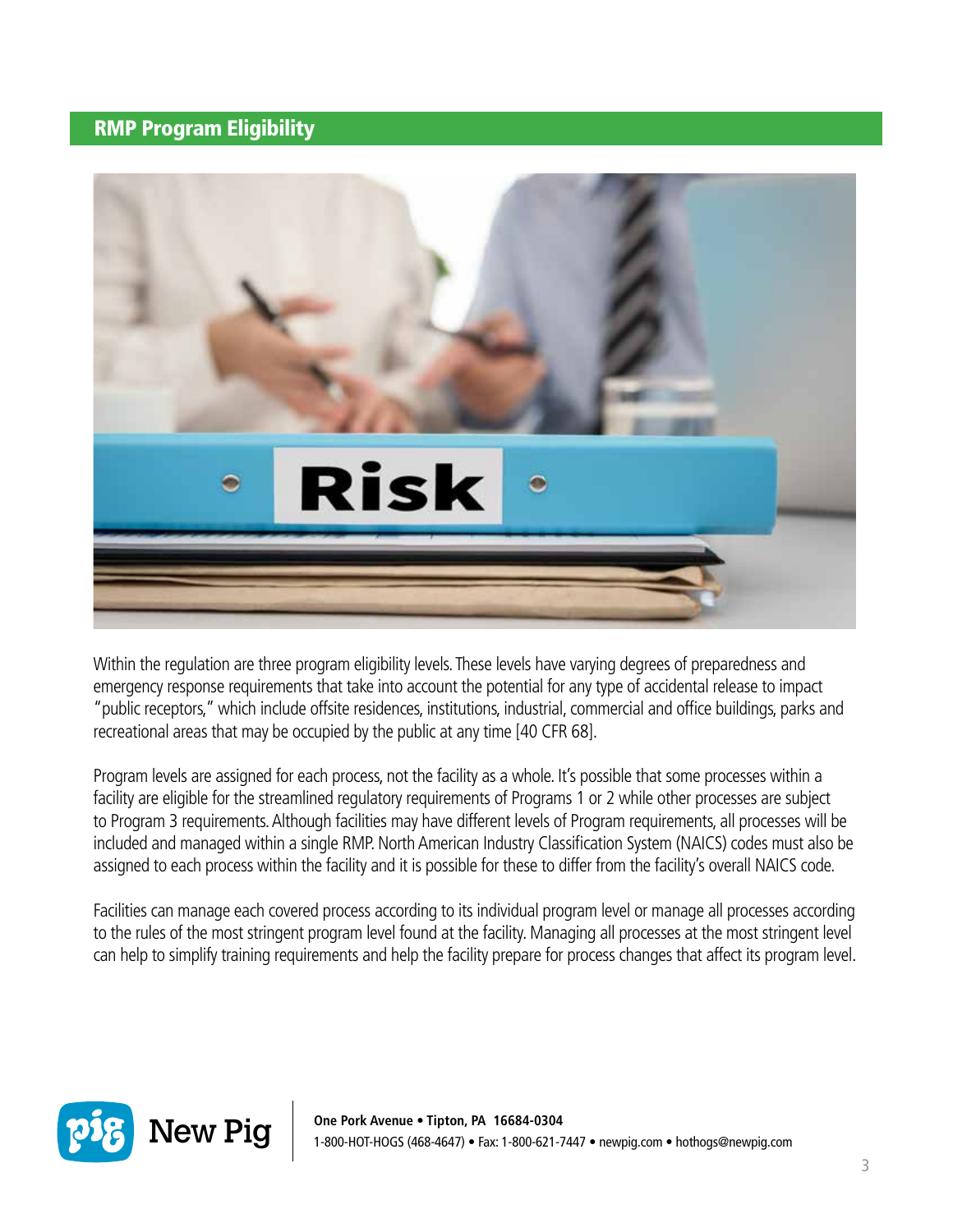#### RMP Program Eligibility



Within the regulation are three program eligibility levels. These levels have varying degrees of preparedness and emergency response requirements that take into account the potential for any type of accidental release to impact "public receptors," which include offsite residences, institutions, industrial, commercial and office buildings, parks and recreational areas that may be occupied by the public at any time [40 CFR 68].

Program levels are assigned for each process, not the facility as a whole. It's possible that some processes within a facility are eligible for the streamlined regulatory requirements of Programs 1 or 2 while other processes are subject to Program 3 requirements. Although facilities may have different levels of Program requirements, all processes will be included and managed within a single RMP. North American Industry Classification System (NAICS) codes must also be assigned to each process within the facility and it is possible for these to differ from the facility's overall NAICS code.

Facilities can manage each covered process according to its individual program level or manage all processes according to the rules of the most stringent program level found at the facility. Managing all processes at the most stringent level can help to simplify training requirements and help the facility prepare for process changes that affect its program level.

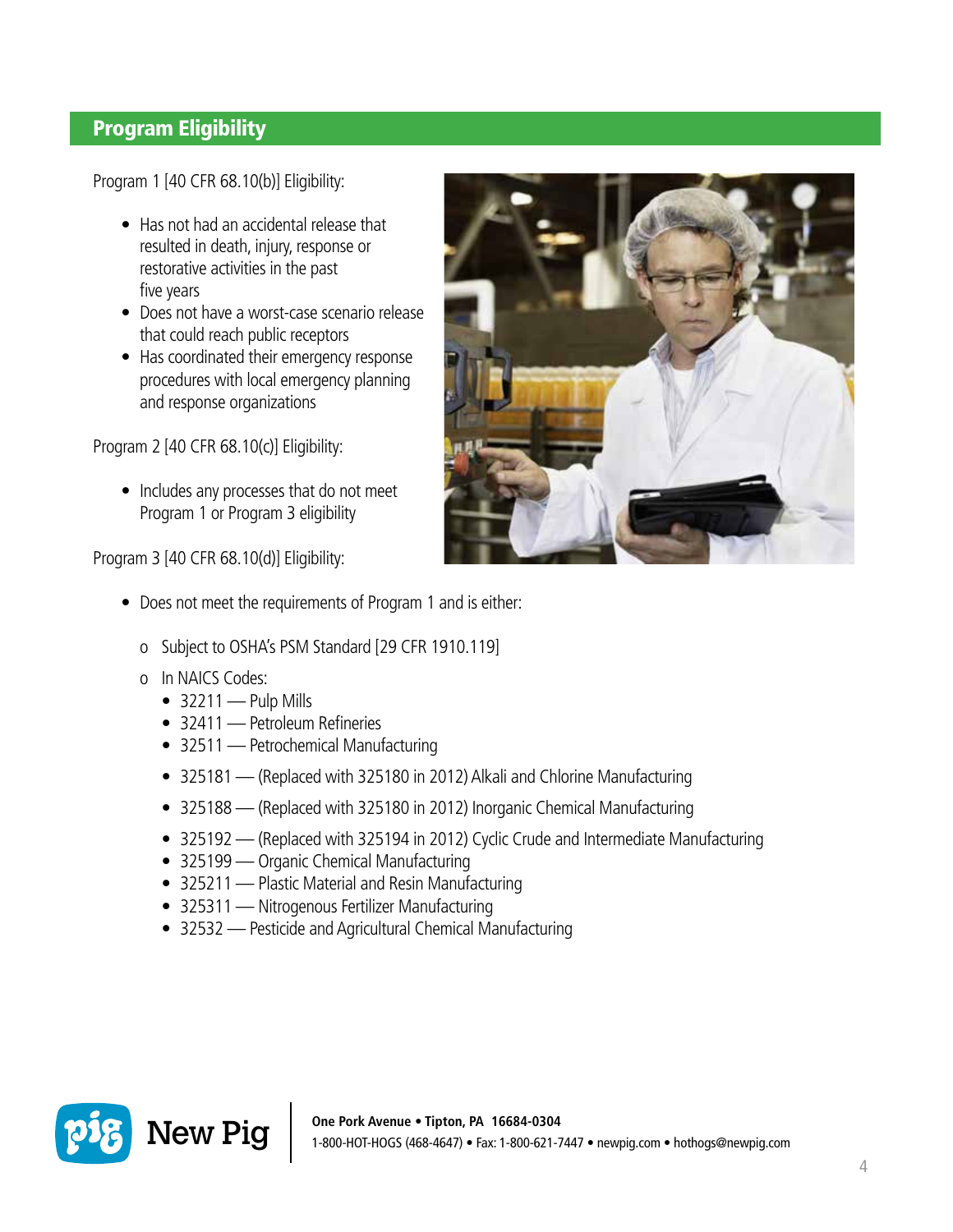## Program Eligibility

Program 1 [40 CFR 68.10(b)] Eligibility:

- Has not had an accidental release that resulted in death, injury, response or restorative activities in the past five years
- Does not have a worst-case scenario release that could reach public receptors
- Has coordinated their emergency response procedures with local emergency planning and response organizations

Program 2 [40 CFR 68.10(c)] Eligibility:

• Includes any processes that do not meet Program 1 or Program 3 eligibility

Program 3 [40 CFR 68.10(d)] Eligibility:

- Does not meet the requirements of Program 1 and is either:
	- o Subject to OSHA's PSM Standard [29 CFR 1910.119]
	- o In NAICS Codes:
		- $\bullet$  32211 Pulp Mills
		- 32411 Petroleum Refineries
		- 32511 Petrochemical Manufacturing
		- 325181 (Replaced with 325180 in 2012) Alkali and Chlorine Manufacturing
		- 325188 (Replaced with 325180 in 2012) Inorganic Chemical Manufacturing
		- 325192 (Replaced with 325194 in 2012) Cyclic Crude and Intermediate Manufacturing
		- 325199 Organic Chemical Manufacturing
		- 325211 Plastic Material and Resin Manufacturing
		- 325311 Nitrogenous Fertilizer Manufacturing
		- 32532 Pesticide and Agricultural Chemical Manufacturing



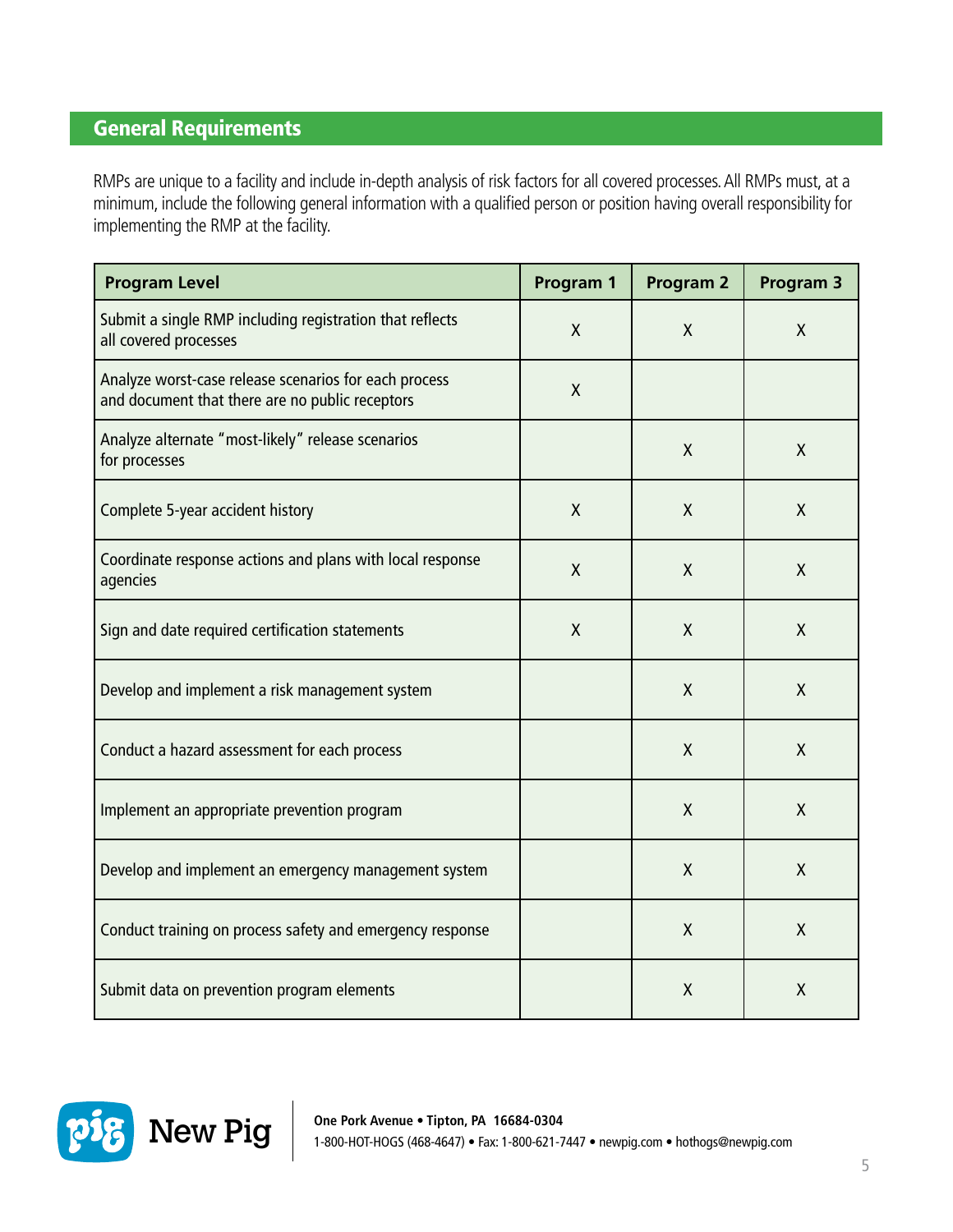### General Requirements

RMPs are unique to a facility and include in-depth analysis of risk factors for all covered processes. All RMPs must, at a minimum, include the following general information with a qualified person or position having overall responsibility for implementing the RMP at the facility.

| <b>Program Level</b>                                                                                     | Program 1 | <b>Program 2</b> | Program 3    |
|----------------------------------------------------------------------------------------------------------|-----------|------------------|--------------|
| Submit a single RMP including registration that reflects<br>all covered processes                        | X         | X                | $\mathsf{X}$ |
| Analyze worst-case release scenarios for each process<br>and document that there are no public receptors | Χ         |                  |              |
| Analyze alternate "most-likely" release scenarios<br>for processes                                       |           | X                | $\mathsf{X}$ |
| Complete 5-year accident history                                                                         | X         | X                | X            |
| Coordinate response actions and plans with local response<br>agencies                                    | X         | X                | X            |
| Sign and date required certification statements                                                          | X         | X                | X            |
| Develop and implement a risk management system                                                           |           | X                | $\mathsf{X}$ |
| Conduct a hazard assessment for each process                                                             |           | X                | X            |
| Implement an appropriate prevention program                                                              |           | $\mathsf{X}$     | X            |
| Develop and implement an emergency management system                                                     |           | $\sf X$          | $\mathsf{X}$ |
| Conduct training on process safety and emergency response                                                |           | $\sf X$          | X            |
| Submit data on prevention program elements                                                               |           | Χ                | X            |

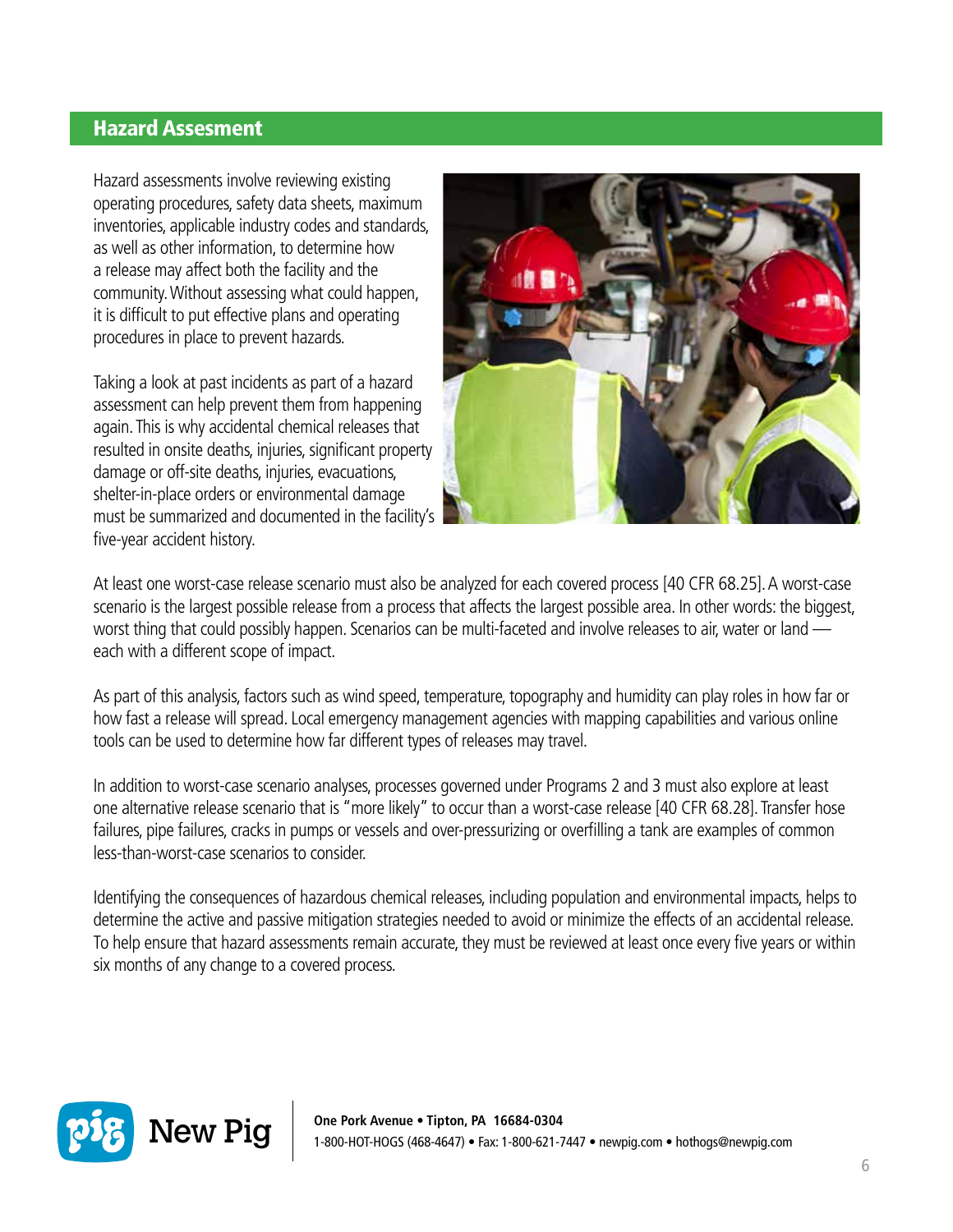#### **Hazard Assesment**

Hazard assessments involve reviewing existing operating procedures, safety data sheets, maximum inventories, applicable industry codes and standards, as well as other information, to determine how a release may affect both the facility and the community. Without assessing what could happen, it is difficult to put effective plans and operating procedures in place to prevent hazards.

Taking a look at past incidents as part of a hazard assessment can help prevent them from happening again. This is why accidental chemical releases that resulted in onsite deaths, injuries, significant property damage or off-site deaths, injuries, evacuations, shelter-in-place orders or environmental damage must be summarized and documented in the facility's five-year accident history.



At least one worst-case release scenario must also be analyzed for each covered process [40 CFR 68.25]. A worst-case scenario is the largest possible release from a process that affects the largest possible area. In other words: the biggest, worst thing that could possibly happen. Scenarios can be multi-faceted and involve releases to air, water or land each with a different scope of impact.

As part of this analysis, factors such as wind speed, temperature, topography and humidity can play roles in how far or how fast a release will spread. Local emergency management agencies with mapping capabilities and various online tools can be used to determine how far different types of releases may travel.

In addition to worst-case scenario analyses, processes governed under Programs 2 and 3 must also explore at least one alternative release scenario that is "more likely" to occur than a worst-case release [40 CFR 68.28]. Transfer hose failures, pipe failures, cracks in pumps or vessels and over-pressurizing or overfilling a tank are examples of common less-than-worst-case scenarios to consider.

Identifying the consequences of hazardous chemical releases, including population and environmental impacts, helps to determine the active and passive mitigation strategies needed to avoid or minimize the effects of an accidental release. To help ensure that hazard assessments remain accurate, they must be reviewed at least once every five years or within six months of any change to a covered process.

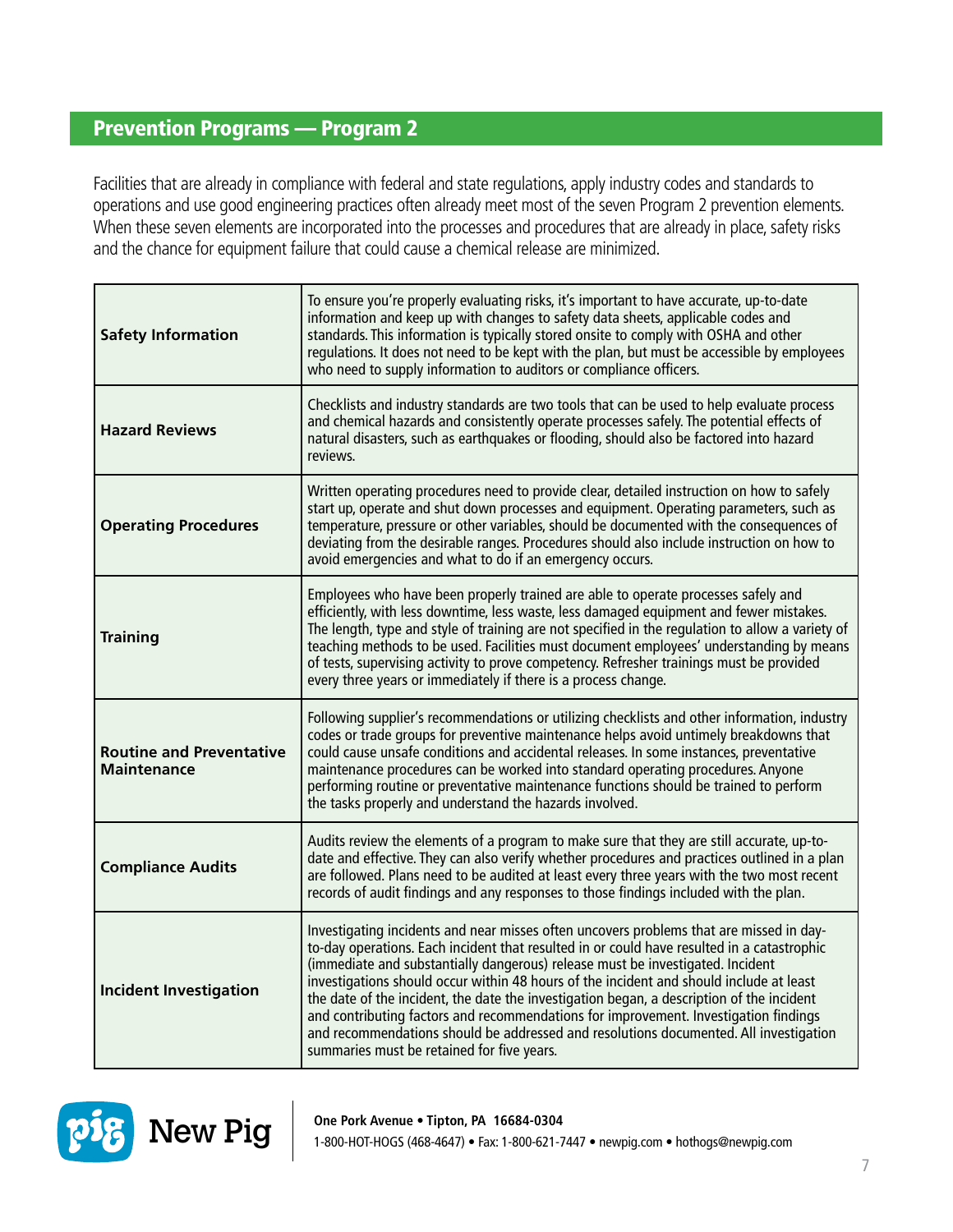#### Prevention Programs — Program 2

Facilities that are already in compliance with federal and state regulations, apply industry codes and standards to operations and use good engineering practices often already meet most of the seven Program 2 prevention elements. When these seven elements are incorporated into the processes and procedures that are already in place, safety risks and the chance for equipment failure that could cause a chemical release are minimized.

| <b>Safety Information</b>                             | To ensure you're properly evaluating risks, it's important to have accurate, up-to-date<br>information and keep up with changes to safety data sheets, applicable codes and<br>standards. This information is typically stored onsite to comply with OSHA and other<br>regulations. It does not need to be kept with the plan, but must be accessible by employees<br>who need to supply information to auditors or compliance officers.                                                                                                                                                                                                                                                       |
|-------------------------------------------------------|------------------------------------------------------------------------------------------------------------------------------------------------------------------------------------------------------------------------------------------------------------------------------------------------------------------------------------------------------------------------------------------------------------------------------------------------------------------------------------------------------------------------------------------------------------------------------------------------------------------------------------------------------------------------------------------------|
| <b>Hazard Reviews</b>                                 | Checklists and industry standards are two tools that can be used to help evaluate process<br>and chemical hazards and consistently operate processes safely. The potential effects of<br>natural disasters, such as earthquakes or flooding, should also be factored into hazard<br>reviews.                                                                                                                                                                                                                                                                                                                                                                                                   |
| <b>Operating Procedures</b>                           | Written operating procedures need to provide clear, detailed instruction on how to safely<br>start up, operate and shut down processes and equipment. Operating parameters, such as<br>temperature, pressure or other variables, should be documented with the consequences of<br>deviating from the desirable ranges. Procedures should also include instruction on how to<br>avoid emergencies and what to do if an emergency occurs.                                                                                                                                                                                                                                                        |
| <b>Training</b>                                       | Employees who have been properly trained are able to operate processes safely and<br>efficiently, with less downtime, less waste, less damaged equipment and fewer mistakes.<br>The length, type and style of training are not specified in the regulation to allow a variety of<br>teaching methods to be used. Facilities must document employees' understanding by means<br>of tests, supervising activity to prove competency. Refresher trainings must be provided<br>every three years or immediately if there is a process change.                                                                                                                                                      |
| <b>Routine and Preventative</b><br><b>Maintenance</b> | Following supplier's recommendations or utilizing checklists and other information, industry<br>codes or trade groups for preventive maintenance helps avoid untimely breakdowns that<br>could cause unsafe conditions and accidental releases. In some instances, preventative<br>maintenance procedures can be worked into standard operating procedures. Anyone<br>performing routine or preventative maintenance functions should be trained to perform<br>the tasks properly and understand the hazards involved.                                                                                                                                                                         |
| <b>Compliance Audits</b>                              | Audits review the elements of a program to make sure that they are still accurate, up-to-<br>date and effective. They can also verify whether procedures and practices outlined in a plan<br>are followed. Plans need to be audited at least every three years with the two most recent<br>records of audit findings and any responses to those findings included with the plan.                                                                                                                                                                                                                                                                                                               |
| <b>Incident Investigation</b>                         | Investigating incidents and near misses often uncovers problems that are missed in day-<br>to-day operations. Each incident that resulted in or could have resulted in a catastrophic<br>(immediate and substantially dangerous) release must be investigated. Incident<br>investigations should occur within 48 hours of the incident and should include at least<br>the date of the incident, the date the investigation began, a description of the incident<br>and contributing factors and recommendations for improvement. Investigation findings<br>and recommendations should be addressed and resolutions documented. All investigation<br>summaries must be retained for five years. |

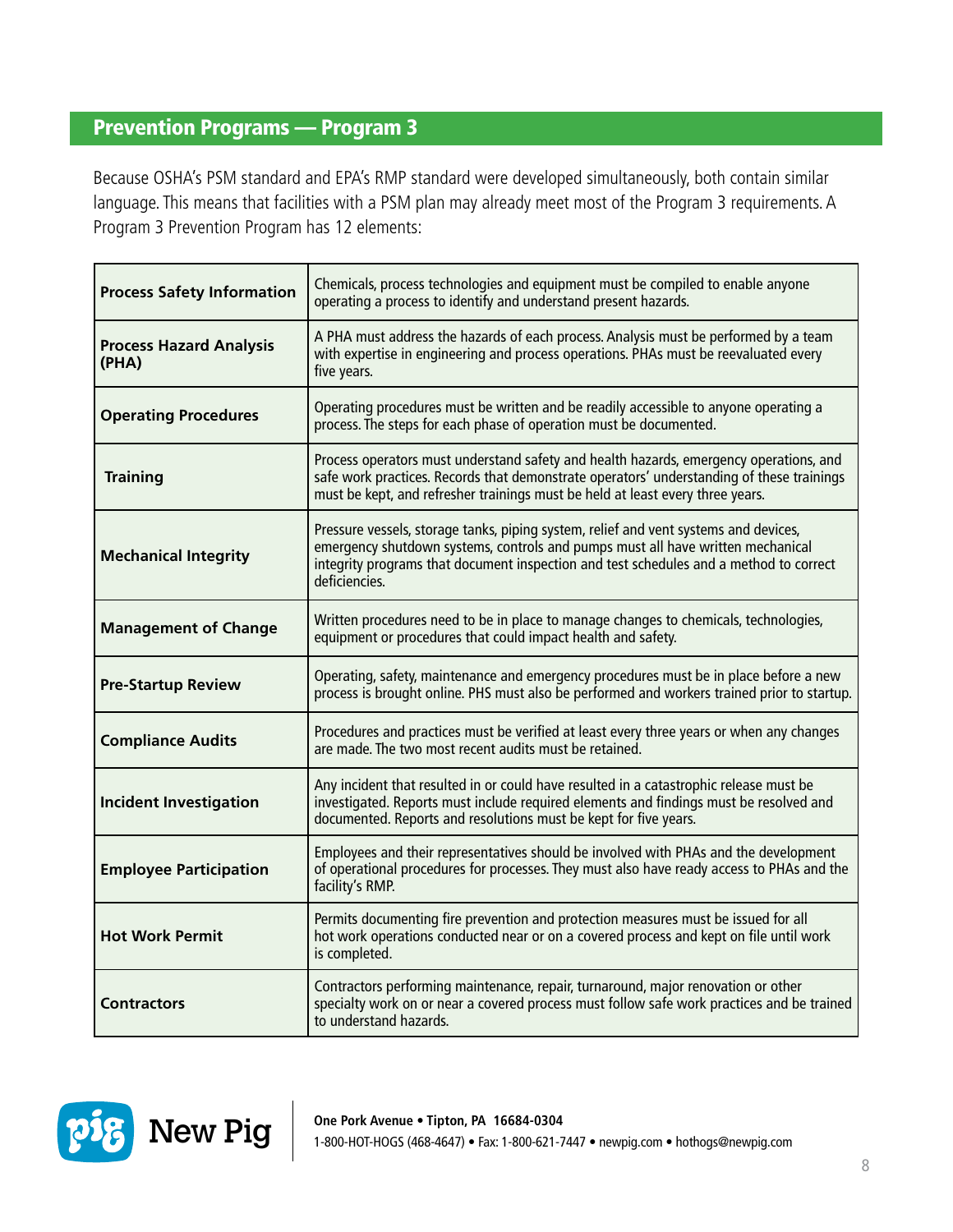#### Prevention Programs — Program 3

Because OSHA's PSM standard and EPA's RMP standard were developed simultaneously, both contain similar language. This means that facilities with a PSM plan may already meet most of the Program 3 requirements. A Program 3 Prevention Program has 12 elements:

| <b>Process Safety Information</b>       | Chemicals, process technologies and equipment must be compiled to enable anyone<br>operating a process to identify and understand present hazards.                                                                                                                                 |
|-----------------------------------------|------------------------------------------------------------------------------------------------------------------------------------------------------------------------------------------------------------------------------------------------------------------------------------|
| <b>Process Hazard Analysis</b><br>(PHA) | A PHA must address the hazards of each process. Analysis must be performed by a team<br>with expertise in engineering and process operations. PHAs must be reevaluated every<br>five years.                                                                                        |
| <b>Operating Procedures</b>             | Operating procedures must be written and be readily accessible to anyone operating a<br>process. The steps for each phase of operation must be documented.                                                                                                                         |
| <b>Training</b>                         | Process operators must understand safety and health hazards, emergency operations, and<br>safe work practices. Records that demonstrate operators' understanding of these trainings<br>must be kept, and refresher trainings must be held at least every three years.              |
| <b>Mechanical Integrity</b>             | Pressure vessels, storage tanks, piping system, relief and vent systems and devices,<br>emergency shutdown systems, controls and pumps must all have written mechanical<br>integrity programs that document inspection and test schedules and a method to correct<br>deficiencies. |
| <b>Management of Change</b>             | Written procedures need to be in place to manage changes to chemicals, technologies,<br>equipment or procedures that could impact health and safety.                                                                                                                               |
| <b>Pre-Startup Review</b>               | Operating, safety, maintenance and emergency procedures must be in place before a new<br>process is brought online. PHS must also be performed and workers trained prior to startup.                                                                                               |
| <b>Compliance Audits</b>                | Procedures and practices must be verified at least every three years or when any changes<br>are made. The two most recent audits must be retained.                                                                                                                                 |
| <b>Incident Investigation</b>           | Any incident that resulted in or could have resulted in a catastrophic release must be<br>investigated. Reports must include required elements and findings must be resolved and<br>documented. Reports and resolutions must be kept for five years.                               |
| <b>Employee Participation</b>           | Employees and their representatives should be involved with PHAs and the development<br>of operational procedures for processes. They must also have ready access to PHAs and the<br>facility's RMP.                                                                               |
| <b>Hot Work Permit</b>                  | Permits documenting fire prevention and protection measures must be issued for all<br>hot work operations conducted near or on a covered process and kept on file until work<br>is completed.                                                                                      |
| <b>Contractors</b>                      | Contractors performing maintenance, repair, turnaround, major renovation or other<br>specialty work on or near a covered process must follow safe work practices and be trained<br>to understand hazards.                                                                          |

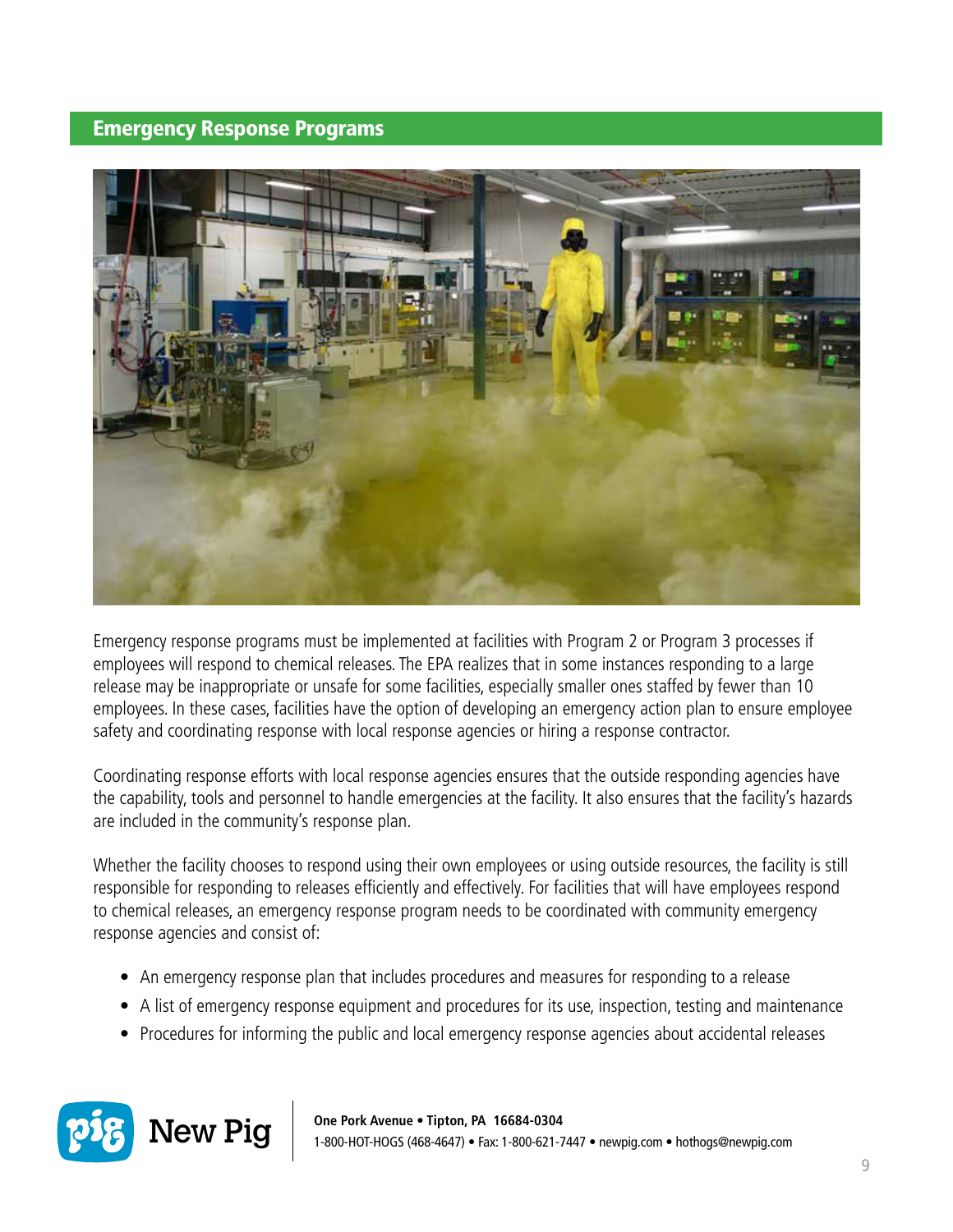#### Emergency Response Programs



Emergency response programs must be implemented at facilities with Program 2 or Program 3 processes if employees will respond to chemical releases. The EPA realizes that in some instances responding to a large release may be inappropriate or unsafe for some facilities, especially smaller ones staffed by fewer than 10 employees. In these cases, facilities have the option of developing an emergency action plan to ensure employee safety and coordinating response with local response agencies or hiring a response contractor.

Coordinating response efforts with local response agencies ensures that the outside responding agencies have the capability, tools and personnel to handle emergencies at the facility. It also ensures that the facility's hazards are included in the community's response plan.

Whether the facility chooses to respond using their own employees or using outside resources, the facility is still responsible for responding to releases efficiently and effectively. For facilities that will have employees respond to chemical releases, an emergency response program needs to be coordinated with community emergency response agencies and consist of:

- An emergency response plan that includes procedures and measures for responding to a release
- A list of emergency response equipment and procedures for its use, inspection, testing and maintenance
- Procedures for informing the public and local emergency response agencies about accidental releases



 $\displaystyle \mathbf{New~Pig} \mid \mathop{\mathrm{_{0ne\,Pork\,Avenue}}\bullet\mathop{\mathrm{Tipton,\,PA}}\limits_{\scriptstyle 4.56684\text{-}0304}} \mathop{\mathrm{_{0-621\cdot 7447}}\bullet\mathop{\mathrm{newpig.com}}\bullet\mathop{\mathrm{hothogs@newpig.com}}$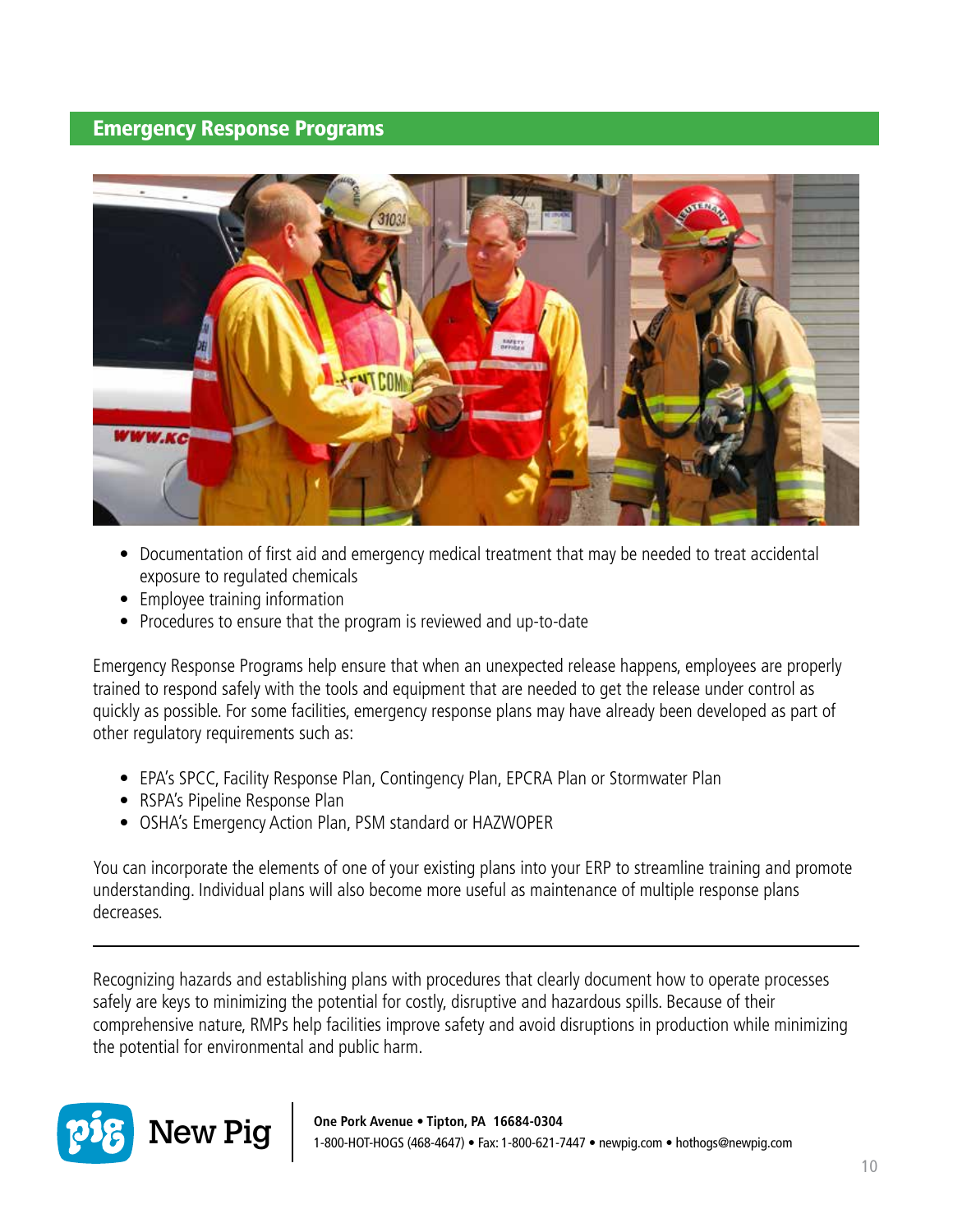#### Emergency Response Programs



- Documentation of first aid and emergency medical treatment that may be needed to treat accidental exposure to regulated chemicals
- Employee training information
- Procedures to ensure that the program is reviewed and up-to-date

Emergency Response Programs help ensure that when an unexpected release happens, employees are properly trained to respond safely with the tools and equipment that are needed to get the release under control as quickly as possible. For some facilities, emergency response plans may have already been developed as part of other regulatory requirements such as:

- EPA's SPCC, Facility Response Plan, Contingency Plan, EPCRA Plan or Stormwater Plan
- RSPA's Pipeline Response Plan
- OSHA's Emergency Action Plan, PSM standard or HAZWOPER

You can incorporate the elements of one of your existing plans into your ERP to streamline training and promote understanding. Individual plans will also become more useful as maintenance of multiple response plans decreases.

Recognizing hazards and establishing plans with procedures that clearly document how to operate processes safely are keys to minimizing the potential for costly, disruptive and hazardous spills. Because of their comprehensive nature, RMPs help facilities improve safety and avoid disruptions in production while minimizing the potential for environmental and public harm.